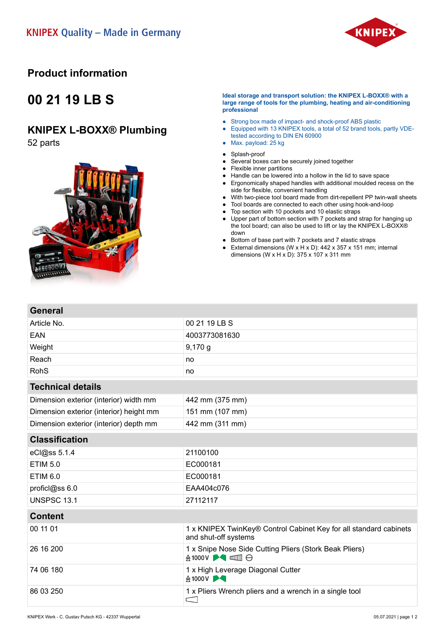

### **Product information**

# **00 21 19 LB S**

### **KNIPEX L-BOXX® Plumbing**

52 parts

**General**



#### **Ideal storage and transport solution: the KNIPEX L-BOXX® with a large range of tools for the plumbing, heating and air-conditioning professional**

- Strong box made of impact- and shock-proof ABS plastic
- Equipped with 13 KNIPEX tools, a total of 52 brand tools, partly VDEtested according to DIN EN 60900 ● Max. payload: 25 kg
- 
- Splash-proof ● Several boxes can be securely joined together
- Flexible inner partitions
- Handle can be lowered into a hollow in the lid to save space
- Ergonomically shaped handles with additional moulded recess on the side for flexible, convenient handling
- With two-piece tool board made from dirt-repellent PP twin-wall sheets
- Tool boards are connected to each other using hook-and-loop
- Top section with 10 pockets and 10 elastic straps
- Upper part of bottom section with 7 pockets and strap for hanging up the tool board; can also be used to lift or lay the KNIPEX L-BOXX® down
- Bottom of base part with 7 pockets and 7 elastic straps<br>■ External dimensions (W x H x D): 442 x 357 x 151 mm;
- External dimensions (W x H x D):  $442 \times 357 \times 151$  mm; internal dimensions (W x H x D): 375 x 107 x 311 mm

| <b>PELICIAL</b>                         |                                                                                           |
|-----------------------------------------|-------------------------------------------------------------------------------------------|
| Article No.                             | 00 21 19 LB S                                                                             |
| EAN                                     | 4003773081630                                                                             |
| Weight                                  | $9,170$ g                                                                                 |
| Reach                                   | no                                                                                        |
| <b>RohS</b>                             | no                                                                                        |
| <b>Technical details</b>                |                                                                                           |
| Dimension exterior (interior) width mm  | 442 mm (375 mm)                                                                           |
| Dimension exterior (interior) height mm | 151 mm (107 mm)                                                                           |
| Dimension exterior (interior) depth mm  | 442 mm (311 mm)                                                                           |
| <b>Classification</b>                   |                                                                                           |
| eCl@ss 5.1.4                            | 21100100                                                                                  |
| <b>ETIM 5.0</b>                         | EC000181                                                                                  |
| <b>ETIM 6.0</b>                         | EC000181                                                                                  |
| proficl@ss 6.0                          | EAA404c076                                                                                |
| <b>UNSPSC 13.1</b>                      | 27112117                                                                                  |
| <b>Content</b>                          |                                                                                           |
| 00 11 01                                | 1 x KNIPEX TwinKey® Control Cabinet Key for all standard cabinets<br>and shut-off systems |
| 26 16 200                               | 1 x Snipe Nose Side Cutting Pliers (Stork Beak Pliers)<br><b>A1000V ▶◀ □ □ ⊖</b>          |
| 74 06 180                               | 1 x High Leverage Diagonal Cutter<br>A1000V <b>→</b>                                      |
| 86 03 250                               | 1 x Pliers Wrench pliers and a wrench in a single tool<br>$\subset$                       |